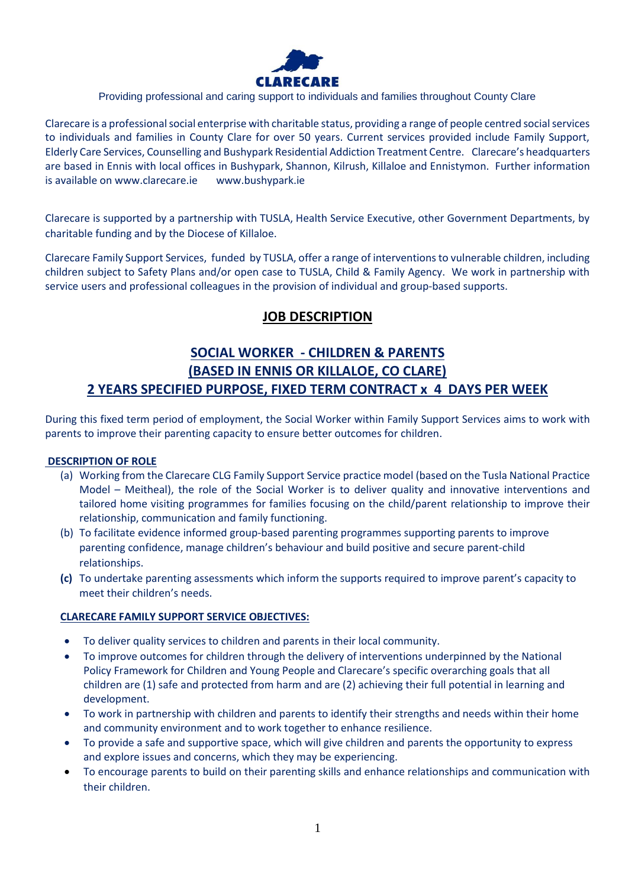

### Providing professional and caring support to individuals and families throughout County Clare

Clarecare is a professional social enterprise with charitable status, providing a range of people centred social services to individuals and families in County Clare for over 50 years. Current services provided include Family Support, Elderly Care Services, Counselling and Bushypark Residential Addiction Treatment Centre. Clarecare's headquarters are based in Ennis with local offices in Bushypark, Shannon, Kilrush, Killaloe and Ennistymon. Further information is available on [www.clarecare.ie](http://www.clarecare.ie/) [www.bushypark.ie](http://www.bushypark.ie/)

Clarecare is supported by a partnership with TUSLA, Health Service Executive, other Government Departments, by charitable funding and by the Diocese of Killaloe.

Clarecare Family Support Services, funded by TUSLA, offer a range of interventions to vulnerable children, including children subject to Safety Plans and/or open case to TUSLA, Child & Family Agency. We work in partnership with service users and professional colleagues in the provision of individual and group-based supports.

## **JOB DESCRIPTION**

# **SOCIAL WORKER - CHILDREN & PARENTS (BASED IN ENNIS OR KILLALOE, CO CLARE) 2 YEARS SPECIFIED PURPOSE, FIXED TERM CONTRACT x 4 DAYS PER WEEK**

During this fixed term period of employment, the Social Worker within Family Support Services aims to work with parents to improve their parenting capacity to ensure better outcomes for children.

### **DESCRIPTION OF ROLE**

- (a) Working from the Clarecare CLG Family Support Service practice model (based on the Tusla National Practice Model – Meitheal), the role of the Social Worker is to deliver quality and innovative interventions and tailored home visiting programmes for families focusing on the child/parent relationship to improve their relationship, communication and family functioning.
- (b) To facilitate evidence informed group-based parenting programmes supporting parents to improve parenting confidence, manage children's behaviour and build positive and secure parent-child relationships.
- **(c)** To undertake parenting assessments which inform the supports required to improve parent's capacity to meet their children's needs.

### **CLARECARE FAMILY SUPPORT SERVICE OBJECTIVES:**

- To deliver quality services to children and parents in their local community.
- To improve outcomes for children through the delivery of interventions underpinned by the National Policy Framework for Children and Young People and Clarecare's specific overarching goals that all children are (1) safe and protected from harm and are (2) achieving their full potential in learning and development.
- To work in partnership with children and parents to identify their strengths and needs within their home and community environment and to work together to enhance resilience.
- To provide a safe and supportive space, which will give children and parents the opportunity to express and explore issues and concerns, which they may be experiencing.
- To encourage parents to build on their parenting skills and enhance relationships and communication with their children.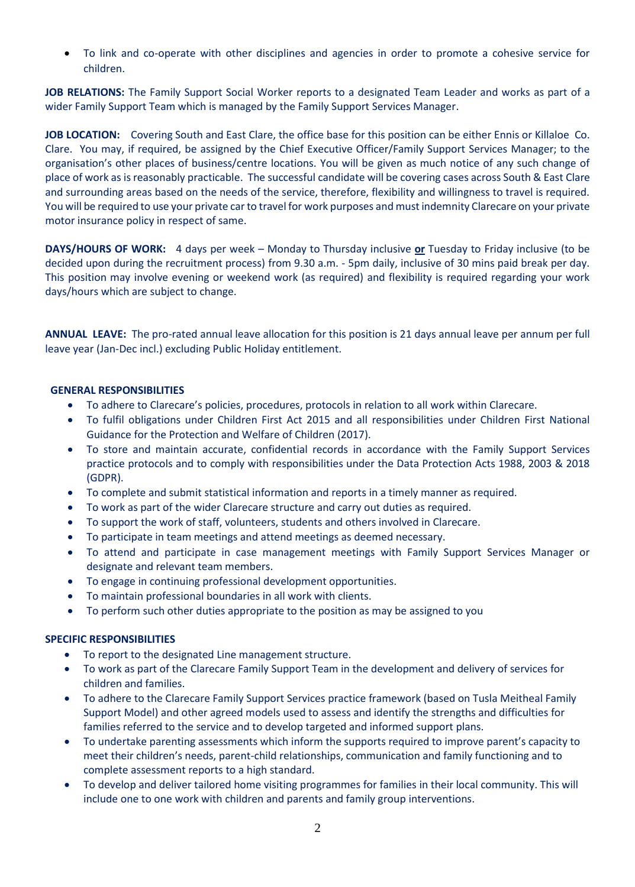• To link and co-operate with other disciplines and agencies in order to promote a cohesive service for children.

**JOB RELATIONS:** The Family Support Social Worker reports to a designated Team Leader and works as part of a wider Family Support Team which is managed by the Family Support Services Manager.

**JOB LOCATION:** Covering South and East Clare, the office base for this position can be either Ennis or Killaloe Co. Clare. You may, if required, be assigned by the Chief Executive Officer/Family Support Services Manager; to the organisation's other places of business/centre locations. You will be given as much notice of any such change of place of work as is reasonably practicable. The successful candidate will be covering cases across South & East Clare and surrounding areas based on the needs of the service, therefore, flexibility and willingness to travel is required. You will be required to use your private car to travel for work purposes and must indemnity Clarecare on your private motor insurance policy in respect of same.

**DAYS/HOURS OF WORK:** 4 days per week – Monday to Thursday inclusive **or** Tuesday to Friday inclusive (to be decided upon during the recruitment process) from 9.30 a.m. - 5pm daily, inclusive of 30 mins paid break per day. This position may involve evening or weekend work (as required) and flexibility is required regarding your work days/hours which are subject to change.

**ANNUAL LEAVE:** The pro-rated annual leave allocation for this position is 21 days annual leave per annum per full leave year (Jan-Dec incl.) excluding Public Holiday entitlement.

### **GENERAL RESPONSIBILITIES**

- To adhere to Clarecare's policies, procedures, protocols in relation to all work within Clarecare.
- To fulfil obligations under Children First Act 2015 and all responsibilities under Children First National Guidance for the Protection and Welfare of Children (2017).
- To store and maintain accurate, confidential records in accordance with the Family Support Services practice protocols and to comply with responsibilities under the Data Protection Acts 1988, 2003 & 2018 (GDPR).
- To complete and submit statistical information and reports in a timely manner as required.
- To work as part of the wider Clarecare structure and carry out duties as required.
- To support the work of staff, volunteers, students and others involved in Clarecare.
- To participate in team meetings and attend meetings as deemed necessary.
- To attend and participate in case management meetings with Family Support Services Manager or designate and relevant team members.
- To engage in continuing professional development opportunities.
- To maintain professional boundaries in all work with clients.
- To perform such other duties appropriate to the position as may be assigned to you

### **SPECIFIC RESPONSIBILITIES**

- To report to the designated Line management structure.
- To work as part of the Clarecare Family Support Team in the development and delivery of services for children and families.
- To adhere to the Clarecare Family Support Services practice framework (based on Tusla Meitheal Family Support Model) and other agreed models used to assess and identify the strengths and difficulties for families referred to the service and to develop targeted and informed support plans.
- To undertake parenting assessments which inform the supports required to improve parent's capacity to meet their children's needs, parent-child relationships, communication and family functioning and to complete assessment reports to a high standard.
- To develop and deliver tailored home visiting programmes for families in their local community. This will include one to one work with children and parents and family group interventions.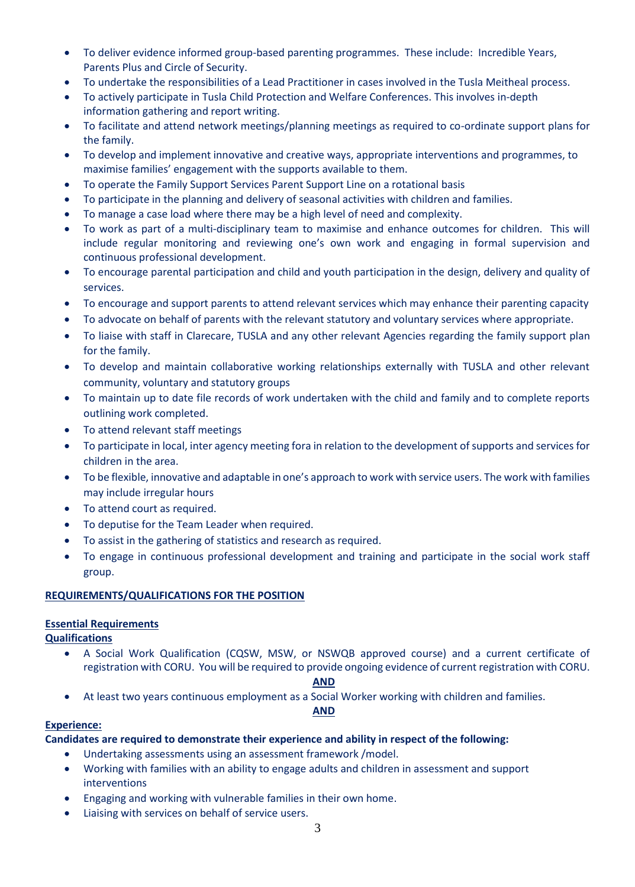- To deliver evidence informed group-based parenting programmes. These include: Incredible Years, Parents Plus and Circle of Security.
- To undertake the responsibilities of a Lead Practitioner in cases involved in the Tusla Meitheal process.
- To actively participate in Tusla Child Protection and Welfare Conferences. This involves in-depth information gathering and report writing.
- To facilitate and attend network meetings/planning meetings as required to co-ordinate support plans for the family.
- To develop and implement innovative and creative ways, appropriate interventions and programmes, to maximise families' engagement with the supports available to them.
- To operate the Family Support Services Parent Support Line on a rotational basis
- To participate in the planning and delivery of seasonal activities with children and families.
- To manage a case load where there may be a high level of need and complexity.
- To work as part of a multi-disciplinary team to maximise and enhance outcomes for children. This will include regular monitoring and reviewing one's own work and engaging in formal supervision and continuous professional development.
- To encourage parental participation and child and youth participation in the design, delivery and quality of services.
- To encourage and support parents to attend relevant services which may enhance their parenting capacity
- To advocate on behalf of parents with the relevant statutory and voluntary services where appropriate.
- To liaise with staff in Clarecare, TUSLA and any other relevant Agencies regarding the family support plan for the family.
- To develop and maintain collaborative working relationships externally with TUSLA and other relevant community, voluntary and statutory groups
- To maintain up to date file records of work undertaken with the child and family and to complete reports outlining work completed.
- To attend relevant staff meetings
- To participate in local, inter agency meeting fora in relation to the development of supports and services for children in the area.
- To be flexible, innovative and adaptable in one's approach to work with service users. The work with families may include irregular hours
- To attend court as required.
- To deputise for the Team Leader when required.
- To assist in the gathering of statistics and research as required.
- To engage in continuous professional development and training and participate in the social work staff group.

### **REQUIREMENTS/QUALIFICATIONS FOR THE POSITION**

### **Essential Requirements**

**Qualifications**

• A Social Work Qualification (CQSW, MSW, or NSWQB approved course) and a current certificate of registration with CORU. You will be required to provide ongoing evidence of current registration with CORU.

### **AND**

• At least two years continuous employment as a Social Worker working with children and families.

### **AND**

### **Experience:**

**Candidates are required to demonstrate their experience and ability in respect of the following:**

- Undertaking assessments using an assessment framework /model.
- Working with families with an ability to engage adults and children in assessment and support interventions
- Engaging and working with vulnerable families in their own home.
- Liaising with services on behalf of service users.